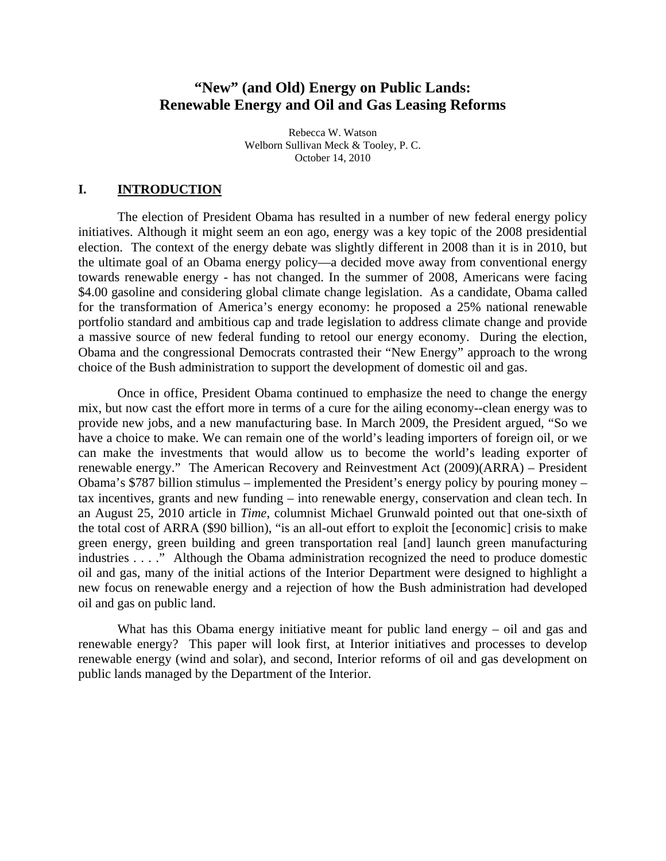# **"New" (and Old) Energy on Public Lands: Renewable Energy and Oil and Gas Leasing Reforms**

Rebecca W. Watson Welborn Sullivan Meck & Tooley, P. C. October 14, 2010

### **I. INTRODUCTION**

The election of President Obama has resulted in a number of new federal energy policy initiatives. Although it might seem an eon ago, energy was a key topic of the 2008 presidential election. The context of the energy debate was slightly different in 2008 than it is in 2010, but the ultimate goal of an Obama energy policy—a decided move away from conventional energy towards renewable energy - has not changed. In the summer of 2008, Americans were facing \$4.00 gasoline and considering global climate change legislation. As a candidate, Obama called for the transformation of America's energy economy: he proposed a 25% national renewable portfolio standard and ambitious cap and trade legislation to address climate change and provide a massive source of new federal funding to retool our energy economy. During the election, Obama and the congressional Democrats contrasted their "New Energy" approach to the wrong choice of the Bush administration to support the development of domestic oil and gas.

Once in office, President Obama continued to emphasize the need to change the energy mix, but now cast the effort more in terms of a cure for the ailing economy--clean energy was to provide new jobs, and a new manufacturing base. In March 2009, the President argued, "So we have a choice to make. We can remain one of the world's leading importers of foreign oil, or we can make the investments that would allow us to become the world's leading exporter of renewable energy." The American Recovery and Reinvestment Act (2009)(ARRA) – President Obama's \$787 billion stimulus – implemented the President's energy policy by pouring money – tax incentives, grants and new funding – into renewable energy, conservation and clean tech. In an August 25, 2010 article in *Time*, columnist Michael Grunwald pointed out that one-sixth of the total cost of ARRA (\$90 billion), "is an all-out effort to exploit the [economic] crisis to make green energy, green building and green transportation real [and] launch green manufacturing industries . . . ." Although the Obama administration recognized the need to produce domestic oil and gas, many of the initial actions of the Interior Department were designed to highlight a new focus on renewable energy and a rejection of how the Bush administration had developed oil and gas on public land.

What has this Obama energy initiative meant for public land energy – oil and gas and renewable energy? This paper will look first, at Interior initiatives and processes to develop renewable energy (wind and solar), and second, Interior reforms of oil and gas development on public lands managed by the Department of the Interior.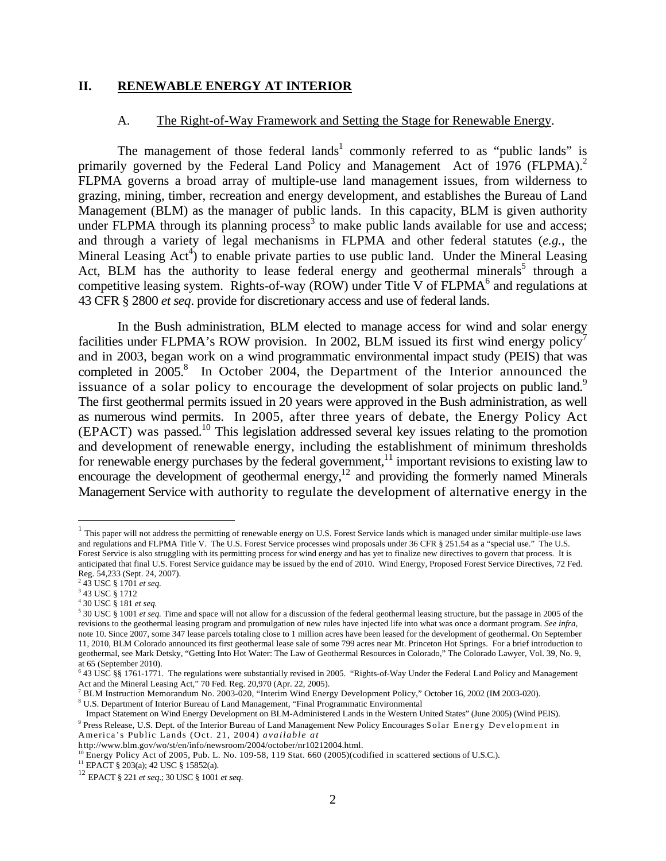#### **II. RENEWABLE ENERGY AT INTERIOR**

#### A. The Right-of-Way Framework and Setting the Stage for Renewable Energy.

The management of those federal lands<sup>1</sup> commonly referred to as "public lands" is primarily governed by the Federal Land Policy and Management Act of 1976 (FLPMA).<sup>2</sup> FLPMA governs a broad array of multiple-use land management issues, from wilderness to grazing, mining, timber, recreation and energy development, and establishes the Bureau of Land Management (BLM) as the manager of public lands. In this capacity, BLM is given authority under FLPMA through its planning process<sup>3</sup> to make public lands available for use and access; and through a variety of legal mechanisms in FLPMA and other federal statutes (*e.g.*, the Mineral Leasing  $Act^4$ ) to enable private parties to use public land. Under the Mineral Leasing Act, BLM has the authority to lease federal energy and geothermal minerals<sup>5</sup> through a competitive leasing system. Rights-of-way (ROW) under Title V of  $FLPMA<sup>6</sup>$  and regulations at 43 CFR § 2800 *et seq*. provide for discretionary access and use of federal lands.

In the Bush administration, BLM elected to manage access for wind and solar energy facilities under FLPMA's ROW provision. In 2002, BLM issued its first wind energy policy<sup>7</sup> and in 2003, began work on a wind programmatic environmental impact study (PEIS) that was completed in 2005.<sup>8</sup> In October 2004, the Department of the Interior announced the issuance of a solar policy to encourage the development of solar projects on public land.<sup>9</sup> The first geothermal permits issued in 20 years were approved in the Bush administration, as well as numerous wind permits. In 2005, after three years of debate, the Energy Policy Act (EPACT) was passed.10 This legislation addressed several key issues relating to the promotion and development of renewable energy, including the establishment of minimum thresholds for renewable energy purchases by the federal government, $11$  important revisions to existing law to encourage the development of geothermal energy, $12$  and providing the formerly named Minerals Management Service with authority to regulate the development of alternative energy in the

 $\overline{a}$ 

<sup>8</sup> U.S. Department of Interior Bureau of Land Management, "Final Programmatic Environmental

Impact Statement on Wind Energy Development on BLM-Administered Lands in the Western United States" (June 2005) (Wind PEIS).

 $1$  This paper will not address the permitting of renewable energy on U.S. Forest Service lands which is managed under similar multiple-use laws and regulations and FLPMA Title V. The U.S. Forest Service processes wind proposals under 36 CFR § 251.54 as a "special use." The U.S. Forest Service is also struggling with its permitting process for wind energy and has yet to finalize new directives to govern that process. It is anticipated that final U.S. Forest Service guidance may be issued by the end of 2010. Wind Energy, Proposed Forest Service Directives, 72 Fed. Reg. 54,233 (Sept. 24, 2007).

<sup>2</sup> 43 USC § 1701 *et seq.* 

<sup>&</sup>lt;sup>3</sup> 43 USC § 1712

<sup>4</sup> 30 USC § 181 *et seq.*

<sup>5</sup> 30 USC § 1001 *et seq.* Time and space will not allow for a discussion of the federal geothermal leasing structure, but the passage in 2005 of the revisions to the geothermal leasing program and promulgation of new rules have injected life into what was once a dormant program. *See infra*, note 10. Since 2007, some 347 lease parcels totaling close to 1 million acres have been leased for the development of geothermal. On September 11, 2010, BLM Colorado announced its first geothermal lease sale of some 799 acres near Mt. Princeton Hot Springs. For a brief introduction to geothermal, see Mark Detsky, "Getting Into Hot Water: The Law of Geothermal Resources in Colorado," The Colorado Lawyer, Vol. 39, No. 9, at 65 (September 2010).

<sup>6</sup> 43 USC §§ 1761-1771. The regulations were substantially revised in 2005. "Rights-of-Way Under the Federal Land Policy and Management Act and the Mineral Leasing Act," 70 Fed. Reg. 20,970 (Apr. 22, 2005).

<sup>7</sup> BLM Instruction Memorandum No. 2003-020, "Interim Wind Energy Development Policy," October 16, 2002 (IM 2003-020).

<sup>&</sup>lt;sup>9</sup> Press Release, U.S. Dept. of the Interior Bureau of Land Management New Policy Encourages Solar Energy Development in America's Public Lands (Oct. 21, 2004) *available at*

http://www.blm.gov/wo/st/en/info/newsroom/2004/october/nr10212004.html.

<sup>&</sup>lt;sup>10</sup> Energy Policy Act of 2005, Pub. L. No. 109-58, 119 Stat. 660 (2005)(codified in scattered sections of U.S.C.).<br><sup>11</sup> EPACT § 203(a); 42 USC § 15852(a).

<sup>11</sup> EPACT § 203(a); 42 USC § 15852(a). <sup>12</sup> EPACT § 221 *et seq*.; 30 USC § 1001 *et seq*.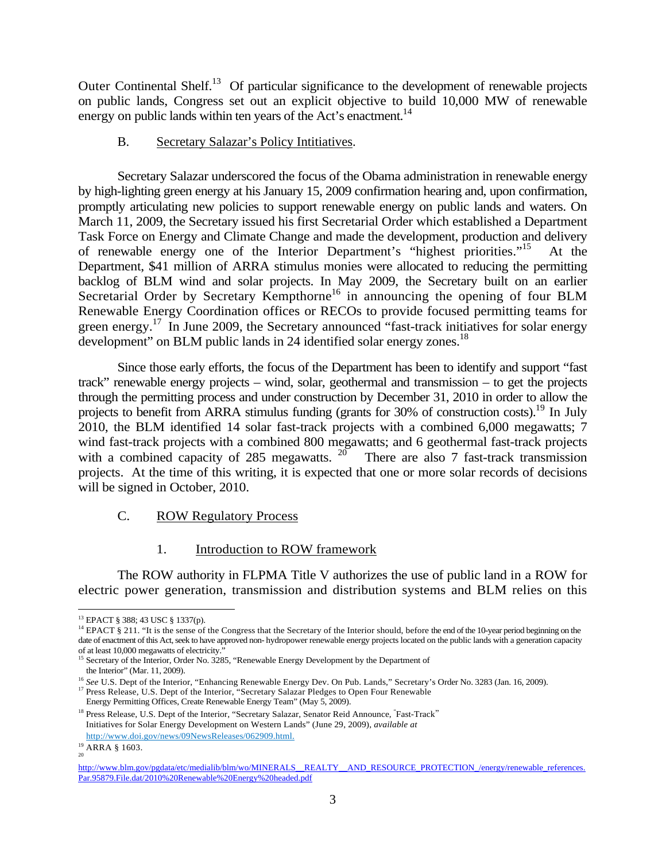Outer Continental Shelf.<sup>13</sup> Of particular significance to the development of renewable projects on public lands, Congress set out an explicit objective to build 10,000 MW of renewable energy on public lands within ten years of the Act's enactment.<sup>14</sup>

#### B. Secretary Salazar's Policy Intitiatives.

Secretary Salazar underscored the focus of the Obama administration in renewable energy by high-lighting green energy at his January 15, 2009 confirmation hearing and, upon confirmation, promptly articulating new policies to support renewable energy on public lands and waters. On March 11, 2009, the Secretary issued his first Secretarial Order which established a Department Task Force on Energy and Climate Change and made the development, production and delivery of renewable energy one of the Interior Department's "highest priorities."<sup>15</sup> At the Department, \$41 million of ARRA stimulus monies were allocated to reducing the permitting backlog of BLM wind and solar projects. In May 2009, the Secretary built on an earlier Secretarial Order by Secretary Kempthorne<sup>16</sup> in announcing the opening of four BLM Renewable Energy Coordination offices or RECOs to provide focused permitting teams for green energy.<sup>17</sup> In June 2009, the Secretary announced "fast-track initiatives for solar energy development" on BLM public lands in 24 identified solar energy zones.<sup>18</sup>

Since those early efforts, the focus of the Department has been to identify and support "fast track" renewable energy projects – wind, solar, geothermal and transmission – to get the projects through the permitting process and under construction by December 31, 2010 in order to allow the projects to benefit from ARRA stimulus funding (grants for  $30\%$  of construction costs).<sup>19</sup> In July 2010, the BLM identified 14 solar fast-track projects with a combined 6,000 megawatts; 7 wind fast-track projects with a combined 800 megawatts; and 6 geothermal fast-track projects with a combined capacity of 285 megawatts.  $20^{\circ}$  There are also 7 fast-track transmission projects. At the time of this writing, it is expected that one or more solar records of decisions will be signed in October, 2010.

### C. ROW Regulatory Process

### 1. Introduction to ROW framework

The ROW authority in FLPMA Title V authorizes the use of public land in a ROW for electric power generation, transmission and distribution systems and BLM relies on this

Energy Permitting Offices, Create Renewable Energy Team" (May 5, 2009).

<sup>18</sup> Press Release, U.S. Dept of the Interior, "Secretary Salazar, Senator Reid Announce, "Fast-Track" Initiatives for Solar Energy Development on Western Lands" (June 29, 2009), *available at* http://www.doi.gov/news/09NewsReleases/062909.html.

<sup>13</sup> EPACT § 388; 43 USC § 1337(p).

<sup>&</sup>lt;sup>14</sup> EPACT § 211. "It is the sense of the Congress that the Secretary of the Interior should, before the end of the 10-year period beginning on the date of enactment of this Act, seek to have approved non- hydropower renewable energy projects located on the public lands with a generation capacity of at least 10,000 megawatts of electricity."

<sup>&</sup>lt;sup>15</sup> Secretary of the Interior, Order No. 3285, "Renewable Energy Development by the Department of the Interior" (Mar. 11, 2009).

<sup>&</sup>lt;sup>16</sup> See U.S. Dept of the Interior, "Enhancing Renewable Energy Dev. On Pub. Lands," Secretary's Order No. 3283 (Jan. 16, 2009).

<sup>&</sup>lt;sup>17</sup> Press Release, U.S. Dept of the Interior, "Secretary Salazar Pledges to Open Four Renewable

 $^{19}_{20}$  ARRA § 1603.

http://www.blm.gov/pgdata/etc/medialib/blm/wo/MINERALS\_REALTY\_AND\_RESOURCE\_PROTECTION\_/energy/renewable\_references. Par.95879.File.dat/2010%20Renewable%20Energy%20headed.pdf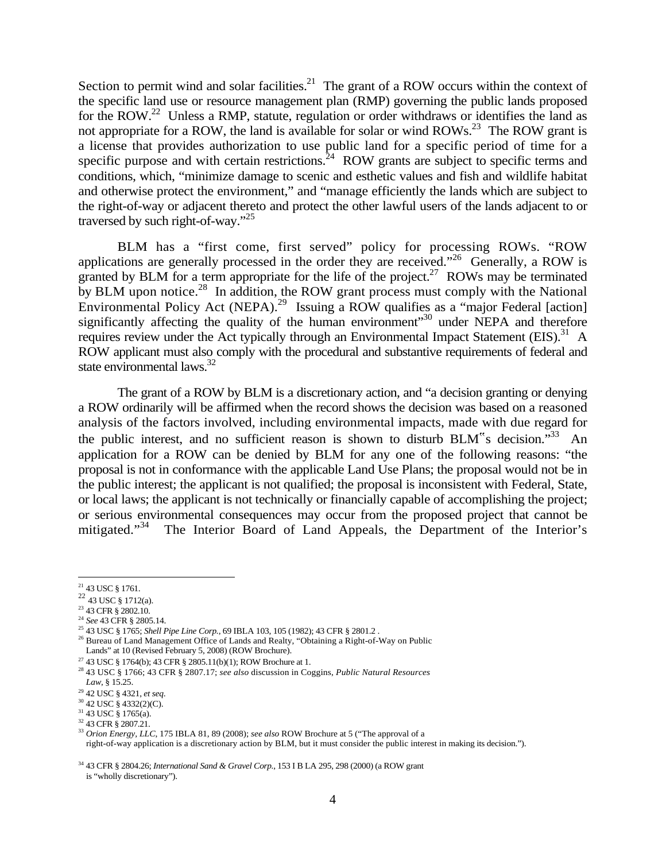Section to permit wind and solar facilities. $21$  The grant of a ROW occurs within the context of the specific land use or resource management plan (RMP) governing the public lands proposed for the ROW.<sup>22</sup> Unless a RMP, statute, regulation or order withdraws or identifies the land as not appropriate for a ROW, the land is available for solar or wind ROWs.<sup>23</sup> The ROW grant is a license that provides authorization to use public land for a specific period of time for a specific purpose and with certain restrictions.<sup>24</sup> ROW grants are subject to specific terms and conditions, which, "minimize damage to scenic and esthetic values and fish and wildlife habitat and otherwise protect the environment," and "manage efficiently the lands which are subject to the right-of-way or adjacent thereto and protect the other lawful users of the lands adjacent to or traversed by such right-of-way."<sup>25</sup>

BLM has a "first come, first served" policy for processing ROWs. "ROW applications are generally processed in the order they are received."26 Generally, a ROW is granted by BLM for a term appropriate for the life of the project.<sup>27</sup> ROWs may be terminated by BLM upon notice.<sup>28</sup> In addition, the ROW grant process must comply with the National Environmental Policy Act (NEPA).<sup>29</sup> Issuing a ROW qualifies as a "major Federal [action] significantly affecting the quality of the human environment"<sup>30</sup> under NEPA and therefore requires review under the Act typically through an Environmental Impact Statement  $(EIS)$ .<sup>31</sup> A ROW applicant must also comply with the procedural and substantive requirements of federal and state environmental laws.<sup>32</sup>

The grant of a ROW by BLM is a discretionary action, and "a decision granting or denying a ROW ordinarily will be affirmed when the record shows the decision was based on a reasoned analysis of the factors involved, including environmental impacts, made with due regard for the public interest, and no sufficient reason is shown to disturb BLM"s decision.<sup>733</sup> An application for a ROW can be denied by BLM for any one of the following reasons: "the proposal is not in conformance with the applicable Land Use Plans; the proposal would not be in the public interest; the applicant is not qualified; the proposal is inconsistent with Federal, State, or local laws; the applicant is not technically or financially capable of accomplishing the project; or serious environmental consequences may occur from the proposed project that cannot be mitigated."<sup>34</sup> The Interior Board of Land Appeals, the Department of the Interior's

 $21$  43 USC § 1761.

<sup>&</sup>lt;sup>22</sup> 43 USC § 1712(a).<br><sup>23</sup> 43 CFR § 2802.10.<br><sup>24</sup> *See* 43 CFR § 2805.14.<br><sup>25</sup> 43 USC § 1765; *Shell Pipe Line Corp.*, 69 IBLA 103, 105 (1982); 43 CFR § 2801.2 .

<sup>&</sup>lt;sup>26</sup> Bureau of Land Management Office of Lands and Realty, "Obtaining a Right-of-Way on Public

Lands" at 10 (Revised February 5, 2008) (ROW Brochure).

<sup>27</sup> 43 USC § 1764(b); 43 CFR § 2805.11(b)(1); ROW Brochure at 1.

<sup>28</sup> 43 USC § 1766; 43 CFR § 2807.17; *see also* discussion in Coggins, *Public Natural Resources Law*, § 15.25.

<sup>29</sup> 42 USC § 4321, *et seq*. <sup>30</sup> 42 USC § 4332(2)(C).

<sup>31</sup> 43 USC § 1765(a).

<sup>32</sup> 43 CFR § 2807.21.

<sup>33</sup> *Orion Energy, LLC*, 175 IBLA 81, 89 (2008); *see also* ROW Brochure at 5 ("The approval of a

right-of-way application is a discretionary action by BLM, but it must consider the public interest in making its decision.").

<sup>34</sup> 43 CFR § 2804.26; *International Sand & Gravel Corp.*, 153 I B LA 295, 298 (2000) (a ROW grant is "wholly discretionary").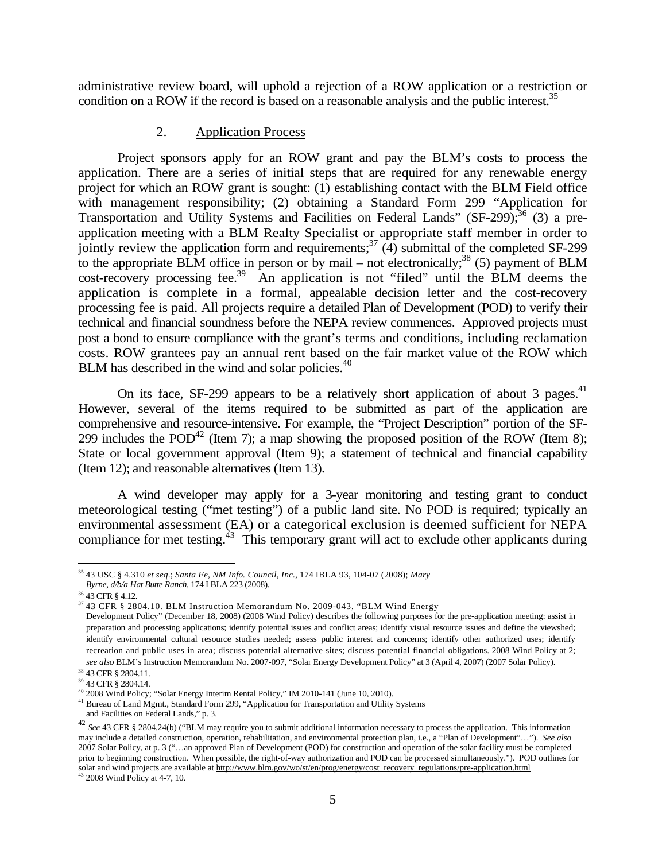administrative review board, will uphold a rejection of a ROW application or a restriction or condition on a ROW if the record is based on a reasonable analysis and the public interest.<sup>35</sup>

#### 2. Application Process

Project sponsors apply for an ROW grant and pay the BLM's costs to process the application. There are a series of initial steps that are required for any renewable energy project for which an ROW grant is sought: (1) establishing contact with the BLM Field office with management responsibility; (2) obtaining a Standard Form 299 "Application for Transportation and Utility Systems and Facilities on Federal Lands" (SF-299); $^{36}$  (3) a preapplication meeting with a BLM Realty Specialist or appropriate staff member in order to jointly review the application form and requirements;<sup>37</sup> (4) submittal of the completed SF-299 to the appropriate BLM office in person or by mail – not electronically;<sup>38</sup> (5) payment of BLM cost-recovery processing fee.<sup>39</sup> An application is not "filed" until the BLM deems the application is complete in a formal, appealable decision letter and the cost-recovery processing fee is paid. All projects require a detailed Plan of Development (POD) to verify their technical and financial soundness before the NEPA review commences. Approved projects must post a bond to ensure compliance with the grant's terms and conditions, including reclamation costs. ROW grantees pay an annual rent based on the fair market value of the ROW which BLM has described in the wind and solar policies.<sup>40</sup>

On its face, SF-299 appears to be a relatively short application of about 3 pages. $41$ However, several of the items required to be submitted as part of the application are comprehensive and resource-intensive. For example, the "Project Description" portion of the SF-299 includes the POD<sup>42</sup> (Item 7); a map showing the proposed position of the ROW (Item 8); State or local government approval (Item 9); a statement of technical and financial capability (Item 12); and reasonable alternatives (Item 13).

A wind developer may apply for a 3-year monitoring and testing grant to conduct meteorological testing ("met testing") of a public land site. No POD is required; typically an environmental assessment (EA) or a categorical exclusion is deemed sufficient for NEPA compliance for met testing.<sup>43</sup> This temporary grant will act to exclude other applicants during

<sup>35</sup> 43 USC § 4.310 *et seq*.; *Santa Fe, NM Info. Council, Inc.*, 174 IBLA 93, 104-07 (2008); *Mary* 

*Byrne, d/b/a Hat Butte Ranch*, 174 I BLA 223 (2008).

<sup>36</sup> 43 CFR § 4.12.

 $37$  43 CFR § 2804.10. BLM Instruction Memorandum No. 2009-043, "BLM Wind Energy Development Policy" (December 18, 2008) (2008 Wind Policy) describes the following purposes for the pre-application meeting: assist in preparation and processing applications; identify potential issues and conflict areas; identify visual resource issues and define the viewshed; identify environmental cultural resource studies needed; assess public interest and concerns; identify other authorized uses; identify recreation and public uses in area; discuss potential alternative sites; discuss potential financial obligations. 2008 Wind Policy at 2; *see also* BLM's Instruction Memorandum No. 2007-097, "Solar Energy Development Policy" at 3 (April 4, 2007) (2007 Solar Policy).

<sup>38</sup> 43 CFR § 2804.11.

<sup>&</sup>lt;sup>39</sup> 43 CFR § 2804.14.<br><sup>40</sup> 2008 Wind Policy; "Solar Energy Interim Rental Policy," IM 2010-141 (June 10, 2010).

<sup>&</sup>lt;sup>41</sup> Bureau of Land Mgmt., Standard Form 299, "Application for Transportation and Utility Systems and Facilities on Federal Lands," p. 3.

<sup>42</sup> *See* 43 CFR § 2804.24(b) ("BLM may require you to submit additional information necessary to process the application. This information may include a detailed construction, operation, rehabilitation, and environmental protection plan, i.e., a "Plan of Development"…"). *See also*  2007 Solar Policy, at p. 3 ("…an approved Plan of Development (POD) for construction and operation of the solar facility must be completed prior to beginning construction. When possible, the right-of-way authorization and POD can be processed simultaneously."). POD outlines for solar and wind projects are available at http://www.blm.gov/wo/st/en/prog/energy/cost\_recovery\_regulations/pre-application.html <sup>43</sup> 2008 Wind Policy at 4-7, 10.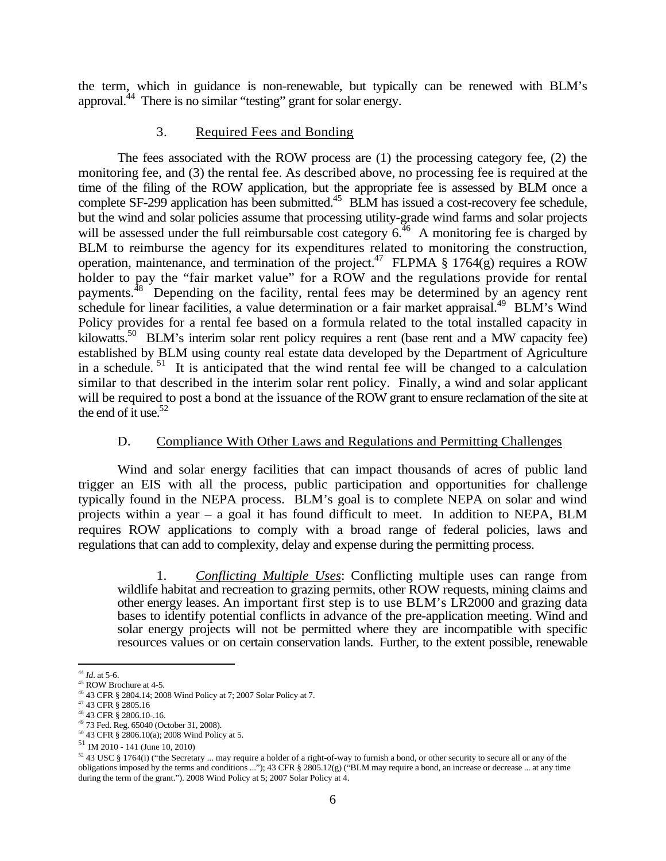the term, which in guidance is non-renewable, but typically can be renewed with BLM's approval.44 There is no similar "testing" grant for solar energy.

### 3. Required Fees and Bonding

The fees associated with the ROW process are (1) the processing category fee, (2) the monitoring fee, and (3) the rental fee. As described above, no processing fee is required at the time of the filing of the ROW application, but the appropriate fee is assessed by BLM once a complete SF-299 application has been submitted.<sup>45</sup> BLM has issued a cost-recovery fee schedule, but the wind and solar policies assume that processing utility-grade wind farms and solar projects will be assessed under the full reimbursable cost category  $6.46$  A monitoring fee is charged by BLM to reimburse the agency for its expenditures related to monitoring the construction, operation, maintenance, and termination of the project.<sup>47</sup> FLPMA § 1764(g) requires a ROW holder to pay the "fair market value" for a ROW and the regulations provide for rental payments.<sup>48</sup> Depending on the facility, rental fees may be determined by an agency rent schedule for linear facilities, a value determination or a fair market appraisal.<sup>49</sup> BLM's Wind Policy provides for a rental fee based on a formula related to the total installed capacity in kilowatts.<sup>50</sup> BLM's interim solar rent policy requires a rent (base rent and a MW capacity fee) established by BLM using county real estate data developed by the Department of Agriculture in a schedule.  $51$  It is anticipated that the wind rental fee will be changed to a calculation similar to that described in the interim solar rent policy. Finally, a wind and solar applicant will be required to post a bond at the issuance of the ROW grant to ensure reclamation of the site at the end of it use. $52$ 

### D. Compliance With Other Laws and Regulations and Permitting Challenges

Wind and solar energy facilities that can impact thousands of acres of public land trigger an EIS with all the process, public participation and opportunities for challenge typically found in the NEPA process. BLM's goal is to complete NEPA on solar and wind projects within a year – a goal it has found difficult to meet. In addition to NEPA, BLM requires ROW applications to comply with a broad range of federal policies, laws and regulations that can add to complexity, delay and expense during the permitting process.

1. *Conflicting Multiple Uses*: Conflicting multiple uses can range from wildlife habitat and recreation to grazing permits, other ROW requests, mining claims and other energy leases. An important first step is to use BLM's LR2000 and grazing data bases to identify potential conflicts in advance of the pre-application meeting. Wind and solar energy projects will not be permitted where they are incompatible with specific resources values or on certain conservation lands. Further, to the extent possible, renewable

 $\overline{a}$ <sup>44</sup> *Id*. at 5-6.

<sup>45</sup> ROW Brochure at 4-5.

<sup>46</sup> 43 CFR § 2804.14; 2008 Wind Policy at 7; 2007 Solar Policy at 7.

<sup>47</sup> 43 CFR § 2805.16

 $^{48}$  43 CFR § 2806.10-.16.<br> $^{49}$  73 Fed. Reg. 65040 (October 31, 2008).

<sup>&</sup>lt;sup>50</sup> 43 CFR § 2806.10(a); 2008 Wind Policy at 5.<br><sup>51</sup> IM 2010 - 141 (June 10, 2010)<br><sup>52</sup> 43 USC § 1764(i) ("the Secretary ... may require a holder of a right-of-way to furnish a bond, or other security to secure all or an obligations imposed by the terms and conditions ..."); 43 CFR § 2805.12(g) ("BLM may require a bond, an increase or decrease ... at any time during the term of the grant."). 2008 Wind Policy at 5; 2007 Solar Policy at 4.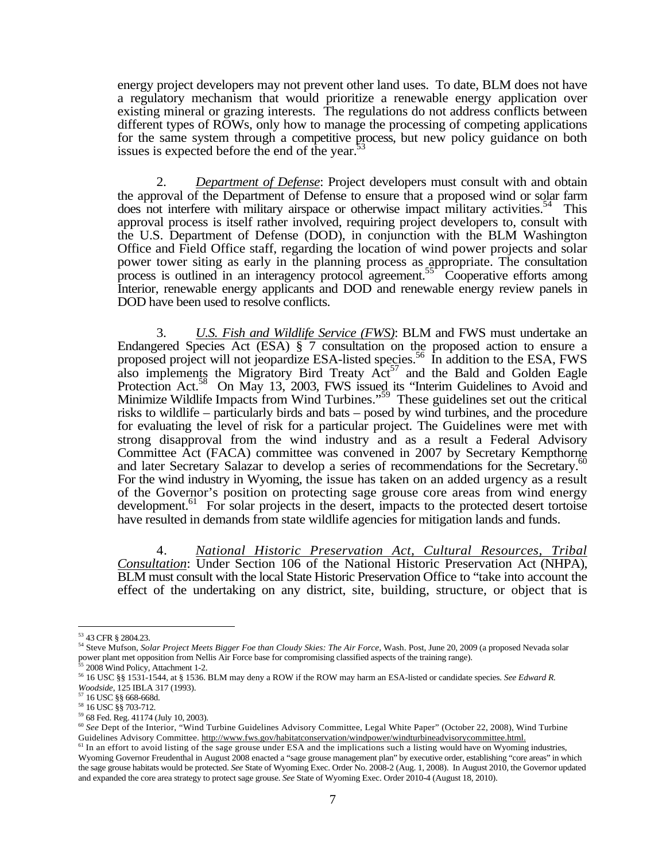energy project developers may not prevent other land uses. To date, BLM does not have a regulatory mechanism that would prioritize a renewable energy application over existing mineral or grazing interests. The regulations do not address conflicts between different types of ROWs, only how to manage the processing of competing applications for the same system through a competitive process, but new policy guidance on both issues is expected before the end of the year.<sup>5</sup>

2. *Department of Defense*: Project developers must consult with and obtain the approval of the Department of Defense to ensure that a proposed wind or solar farm does not interfere with military airspace or otherwise impact military activities.<sup>54</sup> This approval process is itself rather involved, requiring project developers to, consult with the U.S. Department of Defense (DOD), in conjunction with the BLM Washington Office and Field Office staff, regarding the location of wind power projects and solar power tower siting as early in the planning process as appropriate. The consultation process is outlined in an interagency protocol agreement.<sup>55</sup> Cooperative efforts among Interior, renewable energy applicants and DOD and renewable energy review panels in DOD have been used to resolve conflicts.

3. *U.S. Fish and Wildlife Service (FWS)*: BLM and FWS must undertake an Endangered Species Act (ESA) § 7 consultation on the proposed action to ensure a proposed project will not jeopardize ESA-listed species.<sup>56</sup> In addition to the ESA, FWS also implements the Migratory Bird Treaty  $Act^{57}$  and the Bald and Golden Eagle Protection Act.<sup>58</sup> On May 13, 2003, FWS issued its "Interim Guidelines to Avoid and Minimize Wildlife Impacts from Wind Turbines."<sup>59</sup> These guidelines set out the critical risks to wildlife – particularly birds and bats – posed by wind turbines, and the procedure for evaluating the level of risk for a particular project. The Guidelines were met with strong disapproval from the wind industry and as a result a Federal Advisory Committee Act (FACA) committee was convened in 2007 by Secretary Kempthorne and later Secretary Salazar to develop a series of recommendations for the Secretary.<sup>60</sup> For the wind industry in Wyoming, the issue has taken on an added urgency as a result of the Governor's position on protecting sage grouse core areas from wind energy development.<sup>61</sup> For solar projects in the desert, impacts to the protected desert tortoise have resulted in demands from state wildlife agencies for mitigation lands and funds.

4. *National Historic Preservation Act, Cultural Resources, Tribal Consultation*: Under Section 106 of the National Historic Preservation Act (NHPA), BLM must consult with the local State Historic Preservation Office to "take into account the effect of the undertaking on any district, site, building, structure, or object that is

<sup>53</sup> 43 CFR § 2804.23.

<sup>54</sup> Steve Mufson, *Solar Project Meets Bigger Foe than Cloudy Skies: The Air Force*, Wash. Post, June 20, 2009 (a proposed Nevada solar power plant met opposition from Nellis Air Force base for compromising classified aspects of the training range).<br><sup>55</sup> 2009 Witel Deliver A text-

<sup>&</sup>lt;sup>5</sup> 2008 Wind Policy, Attachment 1-2.

<sup>56</sup> 16 USC §§ 1531-1544, at § 1536. BLM may deny a ROW if the ROW may harm an ESA-listed or candidate species. *See Edward R. Woodside*, 125 IBLA 317 (1993).

<sup>57</sup> 16 USC §§ 668-668d.

<sup>58</sup> 16 USC §§ 703-712.

<sup>59</sup> 68 Fed. Reg. 41174 (July 10, 2003).

<sup>&</sup>lt;sup>60</sup> See Dept of the Interior, "Wind Turbine Guidelines Advisory Committee, Legal White Paper" (October 22, 2008), Wind Turbine Guidelines Advisory Committee. http://www.fws.gov/habitatconservation/windpower/windturbineadvisorycommittee.html.

<sup>&</sup>lt;sup>61</sup> In an effort to avoid listing of the sage grouse under ESA and the implications such a listing would have on Wyoming industries, Wyoming Governor Freudenthal in August 2008 enacted a "sage grouse management plan" by executive order, establishing "core areas" in which the sage grouse habitats would be protected. *See* State of Wyoming Exec. Order No. 2008-2 (Aug. 1, 2008). In August 2010, the Governor updated and expanded the core area strategy to protect sage grouse. *See* State of Wyoming Exec. Order 2010-4 (August 18, 2010).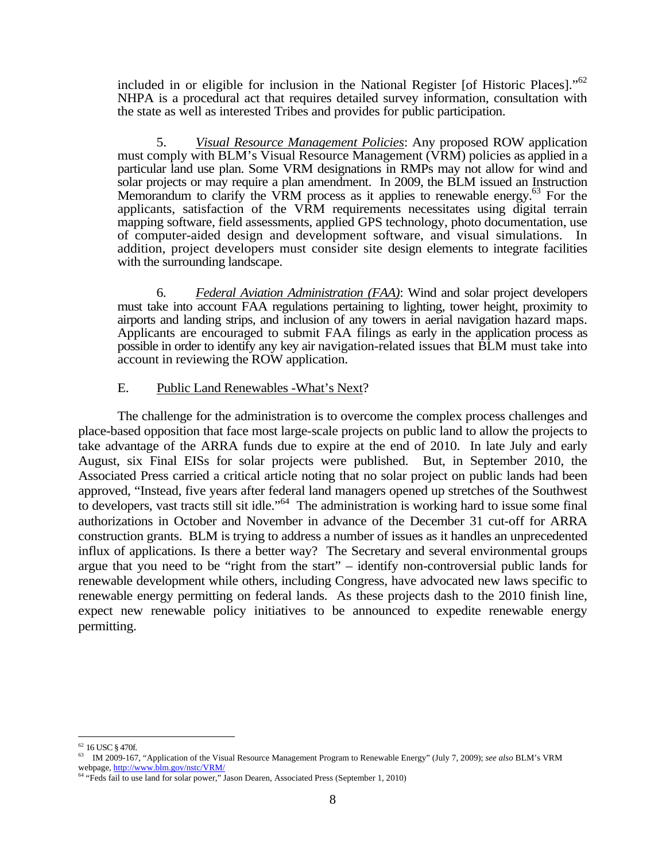included in or eligible for inclusion in the National Register [of Historic Places]."62 NHPA is a procedural act that requires detailed survey information, consultation with the state as well as interested Tribes and provides for public participation.

5. *Visual Resource Management Policies*: Any proposed ROW application must comply with BLM's Visual Resource Management (VRM) policies as applied in a particular land use plan. Some VRM designations in RMPs may not allow for wind and solar projects or may require a plan amendment. In 2009, the BLM issued an Instruction Memorandum to clarify the VRM process as it applies to renewable energy.<sup>63</sup> For the applicants, satisfaction of the VRM requirements necessitates using digital terrain mapping software, field assessments, applied GPS technology, photo documentation, use of computer-aided design and development software, and visual simulations. In addition, project developers must consider site design elements to integrate facilities with the surrounding landscape.

6. *Federal Aviation Administration (FAA)*: Wind and solar project developers must take into account FAA regulations pertaining to lighting, tower height, proximity to airports and landing strips, and inclusion of any towers in aerial navigation hazard maps. Applicants are encouraged to submit FAA filings as early in the application process as possible in order to identify any key air navigation-related issues that BLM must take into account in reviewing the ROW application.

### E. Public Land Renewables -What's Next?

The challenge for the administration is to overcome the complex process challenges and place-based opposition that face most large-scale projects on public land to allow the projects to take advantage of the ARRA funds due to expire at the end of 2010. In late July and early August, six Final EISs for solar projects were published. But, in September 2010, the Associated Press carried a critical article noting that no solar project on public lands had been approved, "Instead, five years after federal land managers opened up stretches of the Southwest to developers, vast tracts still sit idle."<sup>64</sup> The administration is working hard to issue some final authorizations in October and November in advance of the December 31 cut-off for ARRA construction grants. BLM is trying to address a number of issues as it handles an unprecedented influx of applications. Is there a better way? The Secretary and several environmental groups argue that you need to be "right from the start" – identify non-controversial public lands for renewable development while others, including Congress, have advocated new laws specific to renewable energy permitting on federal lands. As these projects dash to the 2010 finish line, expect new renewable policy initiatives to be announced to expedite renewable energy permitting.

 $62$  16 USC § 470f.

<sup>63</sup> IM 2009-167, "Application of the Visual Resource Management Program to Renewable Energy" (July 7, 2009); *see also* BLM's VRM webpage, http://www.blm.gov/nstc/VRM/<br><sup>64</sup> "Feds fail to use land for solar power," Jason Dearen, Associated Press (September 1, 2010)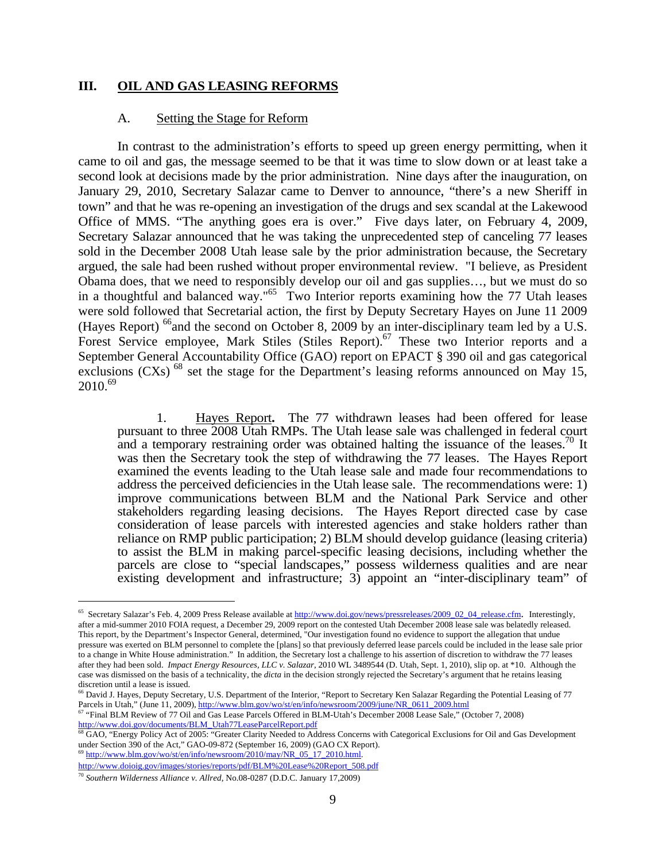#### **III. OIL AND GAS LEASING REFORMS**

#### A. Setting the Stage for Reform

In contrast to the administration's efforts to speed up green energy permitting, when it came to oil and gas, the message seemed to be that it was time to slow down or at least take a second look at decisions made by the prior administration. Nine days after the inauguration, on January 29, 2010, Secretary Salazar came to Denver to announce, "there's a new Sheriff in town" and that he was re-opening an investigation of the drugs and sex scandal at the Lakewood Office of MMS. "The anything goes era is over." Five days later, on February 4, 2009, Secretary Salazar announced that he was taking the unprecedented step of canceling 77 leases sold in the December 2008 Utah lease sale by the prior administration because, the Secretary argued, the sale had been rushed without proper environmental review. "I believe, as President Obama does, that we need to responsibly develop our oil and gas supplies…, but we must do so in a thoughtful and balanced way."65 Two Interior reports examining how the 77 Utah leases were sold followed that Secretarial action, the first by Deputy Secretary Hayes on June 11 2009 (Hayes Report)  $^{66}$  and the second on October 8, 2009 by an inter-disciplinary team led by a U.S. Forest Service employee, Mark Stiles (Stiles Report).<sup>67</sup> These two Interior reports and a September General Accountability Office (GAO) report on EPACT § 390 oil and gas categorical exclusions (CXs)<sup>68</sup> set the stage for the Department's leasing reforms announced on May 15,  $2010^{69}$ 

1.Hayes Report**.** The 77 withdrawn leases had been offered for lease pursuant to three 2008 Utah RMPs. The Utah lease sale was challenged in federal court and a temporary restraining order was obtained halting the issuance of the leases.<sup>70</sup> It was then the Secretary took the step of withdrawing the 77 leases. The Hayes Report examined the events leading to the Utah lease sale and made four recommendations to address the perceived deficiencies in the Utah lease sale. The recommendations were: 1) improve communications between BLM and the National Park Service and other stakeholders regarding leasing decisions. The Hayes Report directed case by case consideration of lease parcels with interested agencies and stake holders rather than reliance on RMP public participation; 2) BLM should develop guidance (leasing criteria) to assist the BLM in making parcel-specific leasing decisions, including whether the parcels are close to "special landscapes," possess wilderness qualities and are near existing development and infrastructure; 3) appoint an "inter-disciplinary team" of

http://www.doioig.gov/images/stories/reports/pdf/BLM%20Lease%20Report\_508.pdf

<sup>&</sup>lt;sup>65</sup> Secretary Salazar's Feb. 4, 2009 Press Release available at http://www.doi.gov/news/pressreleases/2009\_02\_04\_release.cfm. Interestingly, after a mid-summer 2010 FOIA request, a December 29, 2009 report on the contested Utah December 2008 lease sale was belatedly released. This report, by the Department's Inspector General, determined, "Our investigation found no evidence to support the allegation that undue pressure was exerted on BLM personnel to complete the [plans] so that previously deferred lease parcels could be included in the lease sale prior to a change in White House administration." In addition, the Secretary lost a challenge to his assertion of discretion to withdraw the 77 leases after they had been sold. *Impact Energy Resources, LLC v. Salazar*, 2010 WL 3489544 (D. Utah, Sept. 1, 2010), slip op. at \*10. Although the case was dismissed on the basis of a technicality, the *dicta* in the decision strongly rejected the Secretary's argument that he retains leasing discretion until a lease is issued.

<sup>&</sup>lt;sup>66</sup> David J. Hayes, Deputy Secretary, U.S. Department of the Interior, "Report to Secretary Ken Salazar Regarding the Potential Leasing of 77 Parcels in Utah," (June 11, 2009), http://www.blm.gov/wo/st/en/info/newsroom/20

 $^{67}$  "Final BLM Review of 77 Oil and Gas Lease Parcels Offered in BLM-Utah's December 2008 Lease Sale," (October 7, 2008) http://www.doi.gov/documents/BLM\_Utah77LeaseParcelReport.pdf

<sup>68</sup> GAO, "Energy Policy Act of 2005: "Greater Clarity Needed to Address Concerns with Categorical Exclusions for Oil and Gas Development under Section 390 of the Act," GAO-09-872 (September 16, 2009) (GAO CX Report). <sup>69</sup> http://www.blm.gov/wo/st/en/info/newsroom/2010/may/NR\_05\_17\_2010.html.

<sup>70</sup> *Southern Wilderness Alliance v. Allred*, No.08-0287 (D.D.C. January 17,2009)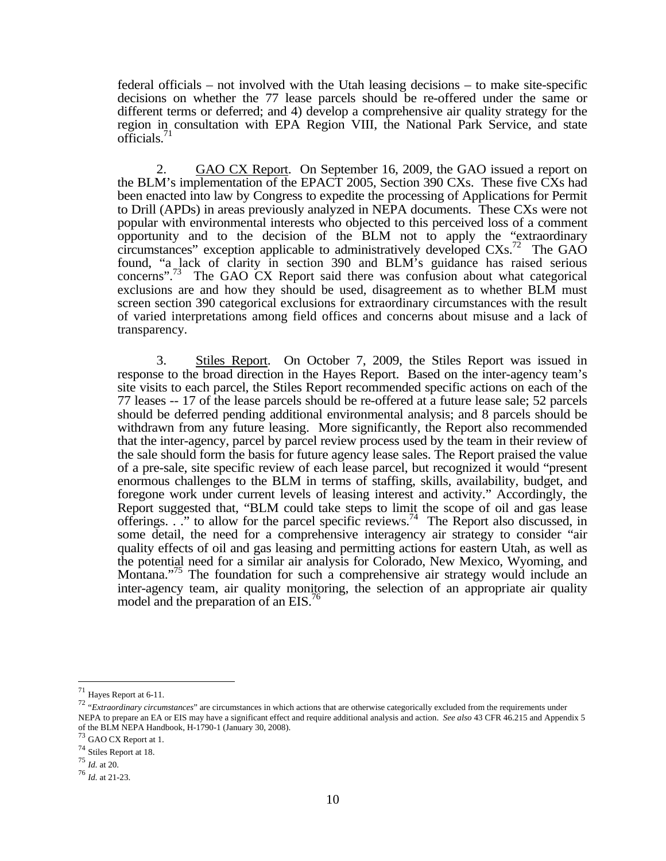federal officials – not involved with the Utah leasing decisions – to make site-specific decisions on whether the 77 lease parcels should be re-offered under the same or different terms or deferred; and 4) develop a comprehensive air quality strategy for the region in consultation with EPA Region VIII, the National Park Service, and state officials.<sup>71</sup>

 2.GAO CX Report. On September 16, 2009, the GAO issued a report on the BLM's implementation of the EPACT 2005, Section 390 CXs. These five CXs had been enacted into law by Congress to expedite the processing of Applications for Permit to Drill (APDs) in areas previously analyzed in NEPA documents. These CXs were not popular with environmental interests who objected to this perceived loss of a comment opportunity and to the decision of the BLM not to apply the "extraordinary circumstances" exception applicable to administratively developed  $\text{CXs}$ <sup>72</sup> The GAO found, "a lack of clarity in section 390 and BLM's guidance has raised serious concerns".<sup>73</sup> The GAO CX Report said there was confusion about what categorical exclusions are and how they should be used, disagreement as to whether BLM must screen section 390 categorical exclusions for extraordinary circumstances with the result of varied interpretations among field offices and concerns about misuse and a lack of transparency.

3. Stiles Report.On October 7, 2009, the Stiles Report was issued in response to the broad direction in the Hayes Report. Based on the inter-agency team's site visits to each parcel, the Stiles Report recommended specific actions on each of the 77 leases -- 17 of the lease parcels should be re-offered at a future lease sale; 52 parcels should be deferred pending additional environmental analysis; and 8 parcels should be withdrawn from any future leasing. More significantly, the Report also recommended that the inter-agency, parcel by parcel review process used by the team in their review of the sale should form the basis for future agency lease sales. The Report praised the value of a pre-sale, site specific review of each lease parcel, but recognized it would "present enormous challenges to the BLM in terms of staffing, skills, availability, budget, and foregone work under current levels of leasing interest and activity." Accordingly, the Report suggested that, "BLM could take steps to limit the scope of oil and gas lease offerings.  $\ldots$ " to allow for the parcel specific reviews.<sup>74</sup> The Report also discussed, in some detail, the need for a comprehensive interagency air strategy to consider "air quality effects of oil and gas leasing and permitting actions for eastern Utah, as well as the potential need for a similar air analysis for Colorado, New Mexico, Wyoming, and Montana."<sup>75</sup> The foundation for such a comprehensive air strategy would include an inter-agency team, air quality monitoring, the selection of an appropriate air quality model and the preparation of an EIS.<sup>76</sup>

 $71$  Hayes Report at 6-11.

<sup>&</sup>lt;sup>72</sup> "*Extraordinary circumstances*" are circumstances in which actions that are otherwise categorically excluded from the requirements under NEPA to prepare an EA or EIS may have a significant effect and require additional analysis and action. *See also* 43 CFR 46.215 and Appendix 5 of the BLM NEPA Handbook, H-1790-1 (January 30, 2008).

<sup>73</sup> GAO CX Report at 1.

<sup>74</sup> Stiles Report at 18.

<sup>75</sup> *Id.* at 20.

<sup>76</sup> *Id.* at 21-23.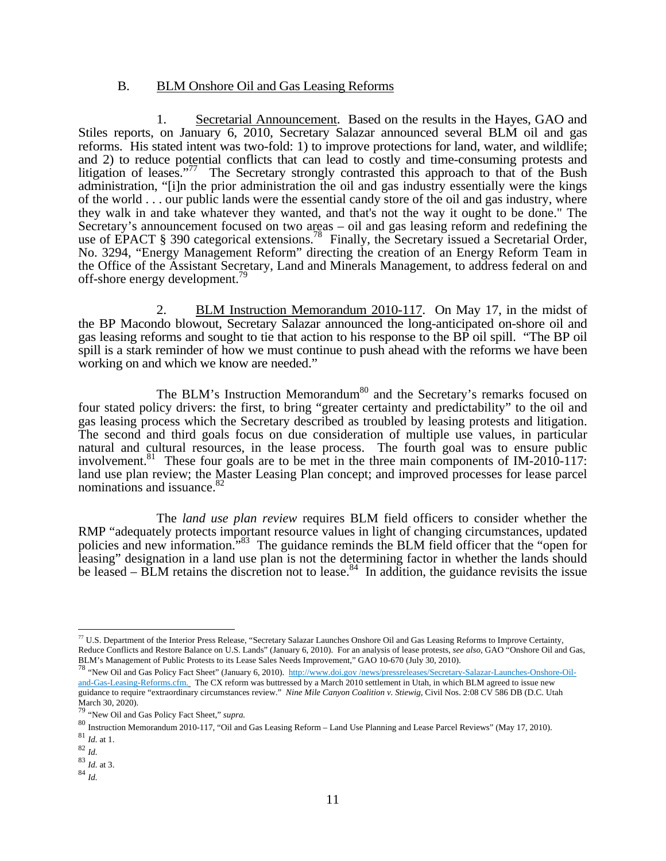#### B. BLM Onshore Oil and Gas Leasing Reforms

1. Secretarial Announcement.Based on the results in the Hayes, GAO and Stiles reports, on January 6, 2010, Secretary Salazar announced several BLM oil and gas reforms. His stated intent was two-fold: 1) to improve protections for land, water, and wildlife; and 2) to reduce potential conflicts that can lead to costly and time-consuming protests and litigation of leases."<sup>77</sup> The Secretary strongly contrasted this approach to that of the Bush administration, "[i]n the prior administration the oil and gas industry essentially were the kings of the world . . . our public lands were the essential candy store of the oil and gas industry, where they walk in and take whatever they wanted, and that's not the way it ought to be done." The Secretary's announcement focused on two areas – oil and gas leasing reform and redefining the use of EPACT § 390 categorical extensions.<sup>78</sup> Finally, the Secretary issued a Secretarial Order, No. 3294, "Energy Management Reform" directing the creation of an Energy Reform Team in the Office of the Assistant Secretary, Land and Minerals Management, to address federal on and off-shore energy development.

 2. BLM Instruction Memorandum 2010-117. On May 17, in the midst of the BP Macondo blowout, Secretary Salazar announced the long-anticipated on-shore oil and gas leasing reforms and sought to tie that action to his response to the BP oil spill. "The BP oil spill is a stark reminder of how we must continue to push ahead with the reforms we have been working on and which we know are needed."

The BLM's Instruction Memorandum<sup>80</sup> and the Secretary's remarks focused on four stated policy drivers: the first, to bring "greater certainty and predictability" to the oil and gas leasing process which the Secretary described as troubled by leasing protests and litigation. The second and third goals focus on due consideration of multiple use values, in particular natural and cultural resources, in the lease process. The fourth goal was to ensure public involvement.<sup>81</sup> These four goals are to be met in the three main components of IM-2010-117: land use plan review; the Master Leasing Plan concept; and improved processes for lease parcel nominations and issuance. $82$ 

 The *land use plan review* requires BLM field officers to consider whether the RMP "adequately protects important resource values in light of changing circumstances, updated policies and new information."<sup>83</sup> The guidance reminds the BLM field officer that the "open for leasing" designation in a land use plan is not the determining factor in whether the lands should be leased – BLM retains the discretion not to lease.<sup>84</sup> In addition, the guidance revisits the issue

<sup>77</sup> U.S. Department of the Interior Press Release, "Secretary Salazar Launches Onshore Oil and Gas Leasing Reforms to Improve Certainty, Reduce Conflicts and Restore Balance on U.S. Lands" (January 6, 2010). For an analysis of lease protests, *see also*, GAO "Onshore Oil and Gas, BLM's Management of Public Protests to its Lease Sales Needs Improvement," GAO

<sup>&</sup>lt;sup>78</sup> "New Oil and Gas Policy Fact Sheet" (January 6, 2010). http://www.doi.gov/news/pressreleases/Secretary-Salazar-Launches-Onshore-Oiland-Gas-Leasing-Reforms.cfm. The CX reform was buttressed by a March 2010 settlement in Utah, in which BLM agreed to issue new guidance to require "extraordinary circumstances review." *Nine Mile Canyon Coalition v. Stiewig*, Civil Nos. 2:08 CV 586 DB (D.C. Utah March 30, 2020).

<sup>79</sup> "New Oil and Gas Policy Fact Sheet," *supra.*

<sup>80</sup> Instruction Memorandum 2010-117, "Oil and Gas Leasing Reform – Land Use Planning and Lease Parcel Reviews" (May 17, 2010).

<sup>81</sup> *Id.* at 1. 82 *Id.* 

<sup>83</sup> *Id.* at 3. 84 *Id.*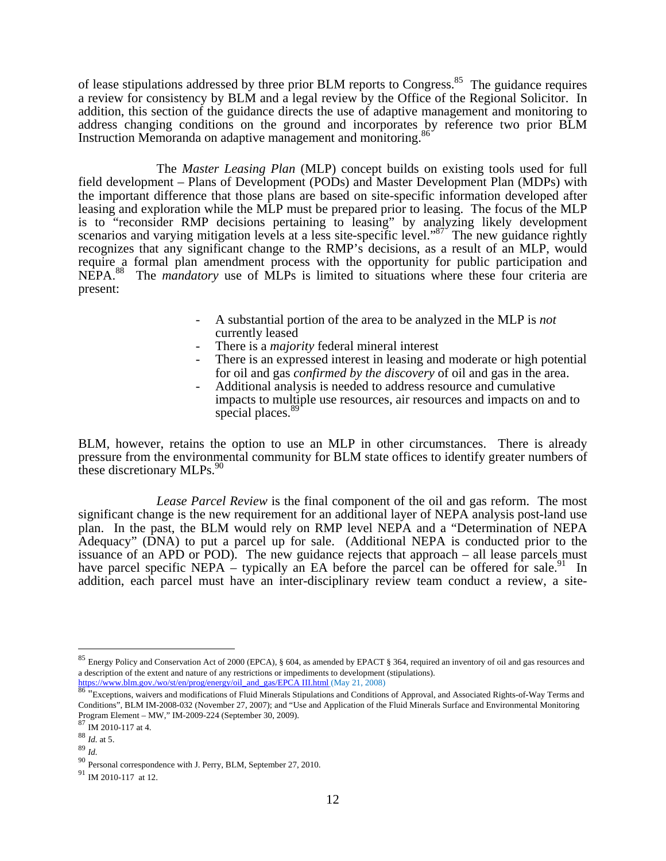of lease stipulations addressed by three prior BLM reports to Congress.<sup>85</sup> The guidance requires a review for consistency by BLM and a legal review by the Office of the Regional Solicitor. In addition, this section of the guidance directs the use of adaptive management and monitoring to address changing conditions on the ground and incorporates by reference two prior BLM Instruction Memoranda on adaptive management and monitoring.<sup>86</sup>

 The *Master Leasing Plan* (MLP) concept builds on existing tools used for full field development – Plans of Development (PODs) and Master Development Plan (MDPs) with the important difference that those plans are based on site-specific information developed after leasing and exploration while the MLP must be prepared prior to leasing. The focus of the MLP is to "reconsider RMP decisions pertaining to leasing" by analyzing likely development scenarios and varying mitigation levels at a less site-specific level."<sup>87</sup> The new guidance rightly recognizes that any significant change to the RMP's decisions, as a result of an MLP, would require a formal plan amendment process with the opportunity for public participation and NEPA.<sup>88</sup> The *mandatory* use of MLPs is limited to situations where these four criteria are present:

- A substantial portion of the area to be analyzed in the MLP is *not* currently leased
- There is a *majority* federal mineral interest
- There is an expressed interest in leasing and moderate or high potential for oil and gas *confirmed by the discovery* of oil and gas in the area.
- Additional analysis is needed to address resource and cumulative impacts to multiple use resources, air resources and impacts on and to special places.<sup>89</sup>

BLM, however, retains the option to use an MLP in other circumstances. There is already pressure from the environmental community for BLM state offices to identify greater numbers of these discretionary  $MLPs.<sup>90</sup>$ 

*Lease Parcel Review* is the final component of the oil and gas reform. The most significant change is the new requirement for an additional layer of NEPA analysis post-land use plan. In the past, the BLM would rely on RMP level NEPA and a "Determination of NEPA Adequacy" (DNA) to put a parcel up for sale. (Additional NEPA is conducted prior to the issuance of an APD or POD). The new guidance rejects that approach – all lease parcels must have parcel specific NEPA – typically an EA before the parcel can be offered for sale.<sup>91</sup> In addition, each parcel must have an inter-disciplinary review team conduct a review, a site-

<u>.</u>

<sup>85</sup> Energy Policy and Conservation Act of 2000 (EPCA), § 604, as amended by EPACT § 364, required an inventory of oil and gas resources and a description of the extent and nature of any restrictions or impediments to development (stipulations).<br>https://www.blm.gov./wo/st/en/prog/energy/oil\_and\_gas/EPCA III.html (May 21, 2008)

 $\frac{86}{1}$  Exceptions, waivers and modifications of Fluid Minerals Stipulations and Conditions of Approval, and Associated Rights-of-Way Terms and Conditions", BLM IM-2008-032 (November 27, 2007); and "Use and Application of the Fluid Minerals Surface and Environmental Monitoring Program Element – MW," IM-2009-224 (September 30, 2009).

<sup>87</sup> IM 2010-117 at 4.

<sup>88</sup> *Id.* at 5.

<sup>89</sup> *Id.*

<sup>90</sup> Personal correspondence with J. Perry, BLM, September 27, 2010.

<sup>91</sup> IM 2010-117 at 12.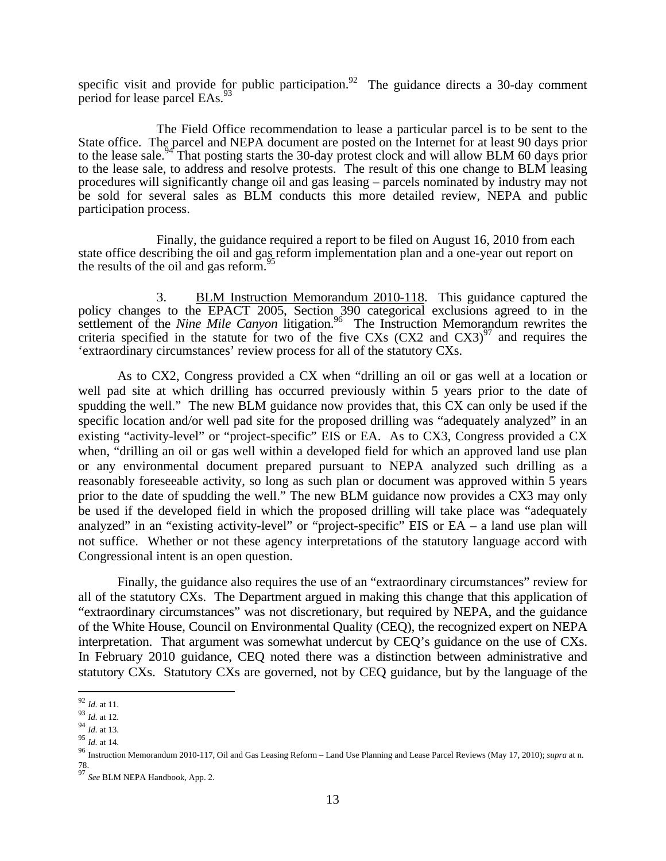specific visit and provide for public participation.<sup>92</sup> The guidance directs a 30-day comment period for lease parcel EAs.<sup>93</sup>

 The Field Office recommendation to lease a particular parcel is to be sent to the State office. The parcel and NEPA document are posted on the Internet for at least 90 days prior to the lease sale.<sup>94</sup> That posting starts the 30-day protest clock and will allow BLM 60 days prior to the lease sale, to address and resolve protests. The result of this one change to BLM leasing procedures will significantly change oil and gas leasing – parcels nominated by industry may not be sold for several sales as BLM conducts this more detailed review, NEPA and public participation process.

 Finally, the guidance required a report to be filed on August 16, 2010 from each state office describing the oil and gas reform implementation plan and a one-year out report on the results of the oil and gas reform.<sup>9</sup>

 3. BLM Instruction Memorandum 2010-118. This guidance captured the policy changes to the EPACT 2005, Section 390 categorical exclusions agreed to in the settlement of the *Nine Mile Canyon* litigation.<sup>96</sup> The Instruction Memorandum rewrites the criteria specified in the statute for two of the five CXs (CX2 and CX3) $^{97}$  and requires the 'extraordinary circumstances' review process for all of the statutory CXs.

As to CX2, Congress provided a CX when "drilling an oil or gas well at a location or well pad site at which drilling has occurred previously within 5 years prior to the date of spudding the well." The new BLM guidance now provides that, this CX can only be used if the specific location and/or well pad site for the proposed drilling was "adequately analyzed" in an existing "activity-level" or "project-specific" EIS or EA. As to CX3, Congress provided a CX when, "drilling an oil or gas well within a developed field for which an approved land use plan or any environmental document prepared pursuant to NEPA analyzed such drilling as a reasonably foreseeable activity, so long as such plan or document was approved within 5 years prior to the date of spudding the well." The new BLM guidance now provides a CX3 may only be used if the developed field in which the proposed drilling will take place was "adequately analyzed" in an "existing activity-level" or "project-specific" EIS or EA – a land use plan will not suffice. Whether or not these agency interpretations of the statutory language accord with Congressional intent is an open question.

Finally, the guidance also requires the use of an "extraordinary circumstances" review for all of the statutory CXs. The Department argued in making this change that this application of "extraordinary circumstances" was not discretionary, but required by NEPA, and the guidance of the White House, Council on Environmental Quality (CEQ), the recognized expert on NEPA interpretation. That argument was somewhat undercut by CEQ's guidance on the use of CXs. In February 2010 guidance, CEQ noted there was a distinction between administrative and statutory CXs. Statutory CXs are governed, not by CEQ guidance, but by the language of the

 $\overline{a}$ <sup>92</sup> *Id.* at 11.

<sup>93</sup> *Id.* at 12.

<sup>&</sup>lt;sup>94</sup> *Id.* at 13.<br><sup>95</sup> *Id.* at 14.

<sup>&</sup>lt;sup>96</sup> Instruction Memorandum 2010-117, Oil and Gas Leasing Reform – Land Use Planning and Lease Parcel Reviews (May 17, 2010); *supra* at n. 78. <sup>97</sup> *See* BLM NEPA Handbook, App. 2.